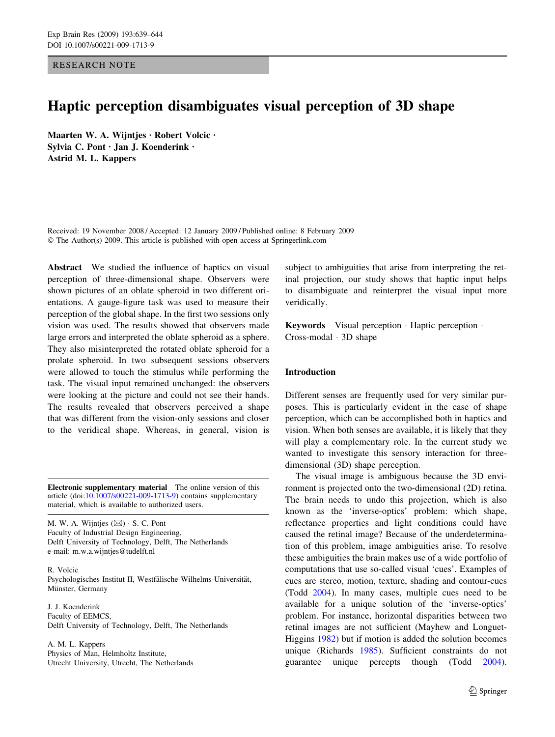RESEARCH NOTE

# Haptic perception disambiguates visual perception of 3D shape

Maarten W. A. Wijntjes · Robert Volcic · Sylvia C. Pont · Jan J. Koenderink · Astrid M. L. Kappers

Received: 19 November 2008 / Accepted: 12 January 2009 / Published online: 8 February 2009  $\odot$  The Author(s) 2009. This article is published with open access at Springerlink.com

Abstract We studied the influence of haptics on visual perception of three-dimensional shape. Observers were shown pictures of an oblate spheroid in two different orientations. A gauge-figure task was used to measure their perception of the global shape. In the first two sessions only vision was used. The results showed that observers made large errors and interpreted the oblate spheroid as a sphere. They also misinterpreted the rotated oblate spheroid for a prolate spheroid. In two subsequent sessions observers were allowed to touch the stimulus while performing the task. The visual input remained unchanged: the observers were looking at the picture and could not see their hands. The results revealed that observers perceived a shape that was different from the vision-only sessions and closer to the veridical shape. Whereas, in general, vision is

Electronic supplementary material The online version of this article (doi:[10.1007/s00221-009-1713-9\)](http://dx.doi.org/10.1007/s00221-009-1713-9) contains supplementary material, which is available to authorized users.

M. W. A. Wijntjes  $(\boxtimes)$  · S. C. Pont Faculty of Industrial Design Engineering, Delft University of Technology, Delft, The Netherlands e-mail: m.w.a.wijntjes@tudelft.nl

R. Volcic Psychologisches Institut II, Westfälische Wilhelms-Universität, Münster, Germany

J. J. Koenderink Faculty of EEMCS, Delft University of Technology, Delft, The Netherlands

A. M. L. Kappers Physics of Man, Helmholtz Institute, Utrecht University, Utrecht, The Netherlands subject to ambiguities that arise from interpreting the retinal projection, our study shows that haptic input helps to disambiguate and reinterpret the visual input more veridically.

**Keywords** Visual perception  $\cdot$  Haptic perception  $\cdot$  $Cross-model · 3D shape$ 

## Introduction

Different senses are frequently used for very similar purposes. This is particularly evident in the case of shape perception, which can be accomplished both in haptics and vision. When both senses are available, it is likely that they will play a complementary role. In the current study we wanted to investigate this sensory interaction for threedimensional (3D) shape perception.

The visual image is ambiguous because the 3D environment is projected onto the two-dimensional (2D) retina. The brain needs to undo this projection, which is also known as the 'inverse-optics' problem: which shape, reflectance properties and light conditions could have caused the retinal image? Because of the underdetermination of this problem, image ambiguities arise. To resolve these ambiguities the brain makes use of a wide portfolio of computations that use so-called visual 'cues'. Examples of cues are stereo, motion, texture, shading and contour-cues (Todd [2004\)](#page-5-0). In many cases, multiple cues need to be available for a unique solution of the 'inverse-optics' problem. For instance, horizontal disparities between two retinal images are not sufficient (Mayhew and Longuet-Higgins [1982\)](#page-5-0) but if motion is added the solution becomes unique (Richards [1985\)](#page-5-0). Sufficient constraints do not guarantee unique percepts though (Todd [2004](#page-5-0)).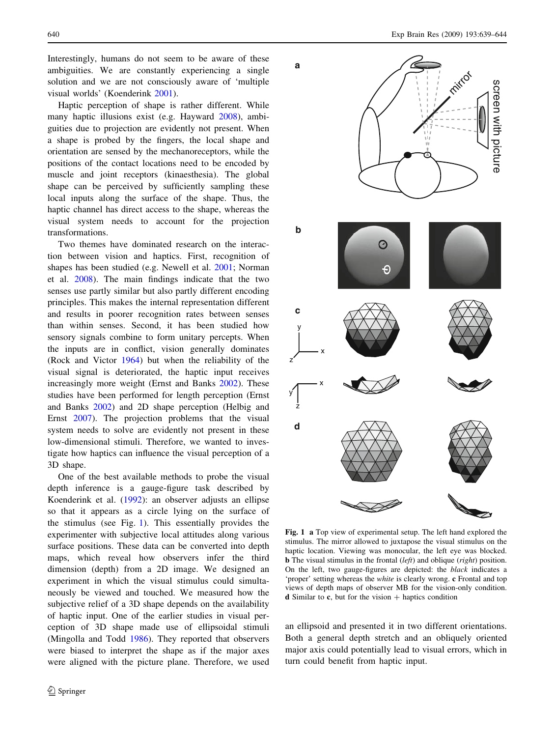<span id="page-1-0"></span>Interestingly, humans do not seem to be aware of these ambiguities. We are constantly experiencing a single solution and we are not consciously aware of 'multiple visual worlds' (Koenderink [2001\)](#page-5-0).

Haptic perception of shape is rather different. While many haptic illusions exist (e.g. Hayward [2008\)](#page-5-0), ambiguities due to projection are evidently not present. When a shape is probed by the fingers, the local shape and orientation are sensed by the mechanoreceptors, while the positions of the contact locations need to be encoded by muscle and joint receptors (kinaesthesia). The global shape can be perceived by sufficiently sampling these local inputs along the surface of the shape. Thus, the haptic channel has direct access to the shape, whereas the visual system needs to account for the projection transformations.

Two themes have dominated research on the interaction between vision and haptics. First, recognition of shapes has been studied (e.g. Newell et al. [2001](#page-5-0); Norman et al. [2008\)](#page-5-0). The main findings indicate that the two senses use partly similar but also partly different encoding principles. This makes the internal representation different and results in poorer recognition rates between senses than within senses. Second, it has been studied how sensory signals combine to form unitary percepts. When the inputs are in conflict, vision generally dominates (Rock and Victor [1964](#page-5-0)) but when the reliability of the visual signal is deteriorated, the haptic input receives increasingly more weight (Ernst and Banks [2002](#page-5-0)). These studies have been performed for length perception (Ernst and Banks [2002](#page-5-0)) and 2D shape perception (Helbig and Ernst [2007\)](#page-5-0). The projection problems that the visual system needs to solve are evidently not present in these low-dimensional stimuli. Therefore, we wanted to investigate how haptics can influence the visual perception of a 3D shape.

One of the best available methods to probe the visual depth inference is a gauge-figure task described by Koenderink et al. ([1992\)](#page-5-0): an observer adjusts an ellipse so that it appears as a circle lying on the surface of the stimulus (see Fig. 1). This essentially provides the experimenter with subjective local attitudes along various surface positions. These data can be converted into depth maps, which reveal how observers infer the third dimension (depth) from a 2D image. We designed an experiment in which the visual stimulus could simultaneously be viewed and touched. We measured how the subjective relief of a 3D shape depends on the availability of haptic input. One of the earlier studies in visual perception of 3D shape made use of ellipsoidal stimuli (Mingolla and Todd [1986](#page-5-0)). They reported that observers were biased to interpret the shape as if the major axes were aligned with the picture plane. Therefore, we used



Fig. 1 a Top view of experimental setup. The left hand explored the stimulus. The mirror allowed to juxtapose the visual stimulus on the haptic location. Viewing was monocular, the left eye was blocked. **b** The visual stimulus in the frontal  $(left)$  and oblique  $(right)$  position. On the left, two gauge-figures are depicted: the black indicates a 'proper' setting whereas the white is clearly wrong. c Frontal and top views of depth maps of observer MB for the vision-only condition. **d** Similar to **c**, but for the vision  $+$  haptics condition

an ellipsoid and presented it in two different orientations. Both a general depth stretch and an obliquely oriented major axis could potentially lead to visual errors, which in turn could benefit from haptic input.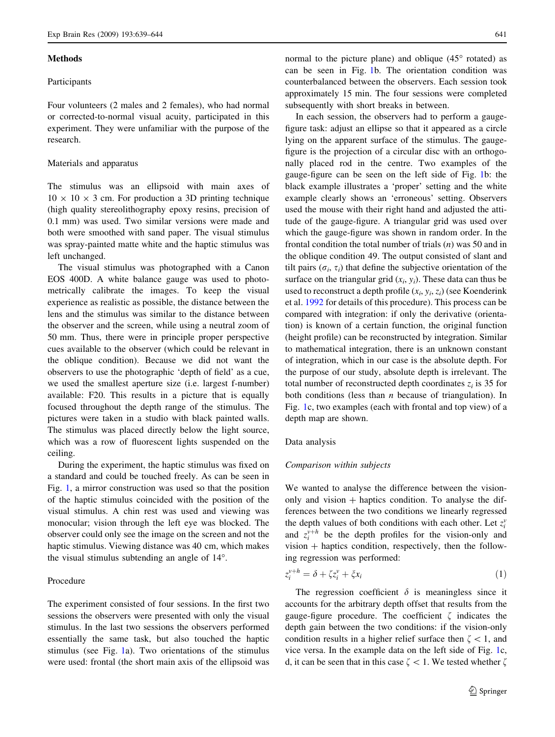#### <span id="page-2-0"></span>**Methods**

## Participants

Four volunteers (2 males and 2 females), who had normal or corrected-to-normal visual acuity, participated in this experiment. They were unfamiliar with the purpose of the research.

#### Materials and apparatus

The stimulus was an ellipsoid with main axes of  $10 \times 10 \times 3$  cm. For production a 3D printing technique (high quality stereolithography epoxy resins, precision of 0.1 mm) was used. Two similar versions were made and both were smoothed with sand paper. The visual stimulus was spray-painted matte white and the haptic stimulus was left unchanged.

The visual stimulus was photographed with a Canon EOS 400D. A white balance gauge was used to photometrically calibrate the images. To keep the visual experience as realistic as possible, the distance between the lens and the stimulus was similar to the distance between the observer and the screen, while using a neutral zoom of 50 mm. Thus, there were in principle proper perspective cues available to the observer (which could be relevant in the oblique condition). Because we did not want the observers to use the photographic 'depth of field' as a cue, we used the smallest aperture size (i.e. largest f-number) available: F20. This results in a picture that is equally focused throughout the depth range of the stimulus. The pictures were taken in a studio with black painted walls. The stimulus was placed directly below the light source, which was a row of fluorescent lights suspended on the ceiling.

During the experiment, the haptic stimulus was fixed on a standard and could be touched freely. As can be seen in Fig. [1](#page-1-0), a mirror construction was used so that the position of the haptic stimulus coincided with the position of the visual stimulus. A chin rest was used and viewing was monocular; vision through the left eye was blocked. The observer could only see the image on the screen and not the haptic stimulus. Viewing distance was 40 cm, which makes the visual stimulus subtending an angle of  $14^\circ$ .

## Procedure

The experiment consisted of four sessions. In the first two sessions the observers were presented with only the visual stimulus. In the last two sessions the observers performed essentially the same task, but also touched the haptic stimulus (see Fig. [1a](#page-1-0)). Two orientations of the stimulus were used: frontal (the short main axis of the ellipsoid was

normal to the picture plane) and oblique  $(45^{\circ}$  rotated) as can be seen in Fig. [1b](#page-1-0). The orientation condition was counterbalanced between the observers. Each session took approximately 15 min. The four sessions were completed subsequently with short breaks in between.

In each session, the observers had to perform a gaugefigure task: adjust an ellipse so that it appeared as a circle lying on the apparent surface of the stimulus. The gaugefigure is the projection of a circular disc with an orthogonally placed rod in the centre. Two examples of the gauge-figure can be seen on the left side of Fig. [1b](#page-1-0): the black example illustrates a 'proper' setting and the white example clearly shows an 'erroneous' setting. Observers used the mouse with their right hand and adjusted the attitude of the gauge-figure. A triangular grid was used over which the gauge-figure was shown in random order. In the frontal condition the total number of trials  $(n)$  was 50 and in the oblique condition 49. The output consisted of slant and tilt pairs ( $\sigma_i$ ,  $\tau_i$ ) that define the subjective orientation of the surface on the triangular grid  $(x_i, y_i)$ . These data can thus be used to reconstruct a depth profile  $(x_i, y_i, z_i)$  (see Koenderink et al. [1992](#page-5-0) for details of this procedure). This process can be compared with integration: if only the derivative (orientation) is known of a certain function, the original function (height profile) can be reconstructed by integration. Similar to mathematical integration, there is an unknown constant of integration, which in our case is the absolute depth. For the purpose of our study, absolute depth is irrelevant. The total number of reconstructed depth coordinates  $z_i$  is 35 for both conditions (less than  $n$  because of triangulation). In Fig. [1](#page-1-0)c, two examples (each with frontal and top view) of a depth map are shown.

#### Data analysis

#### Comparison within subjects

We wanted to analyse the difference between the visiononly and vision  $+$  haptics condition. To analyse the differences between the two conditions we linearly regressed the depth values of both conditions with each other. Let  $z_i^{\text{v}}$ and  $z_i^{v+h}$  be the depth profiles for the vision-only and  $vision + haptics condition, respectively, then the follow$ ing regression was performed:

$$
z_i^{\nu+h} = \delta + \zeta z_i^{\nu} + \zeta x_i \tag{1}
$$

The regression coefficient  $\delta$  is meaningless since it accounts for the arbitrary depth offset that results from the gauge-figure procedure. The coefficient  $\zeta$  indicates the depth gain between the two conditions: if the vision-only condition results in a higher relief surface then  $\zeta$  < 1, and vice versa. In the example data on the left side of Fig. [1](#page-1-0)c, d, it can be seen that in this case  $\zeta \leq 1$ . We tested whether  $\zeta$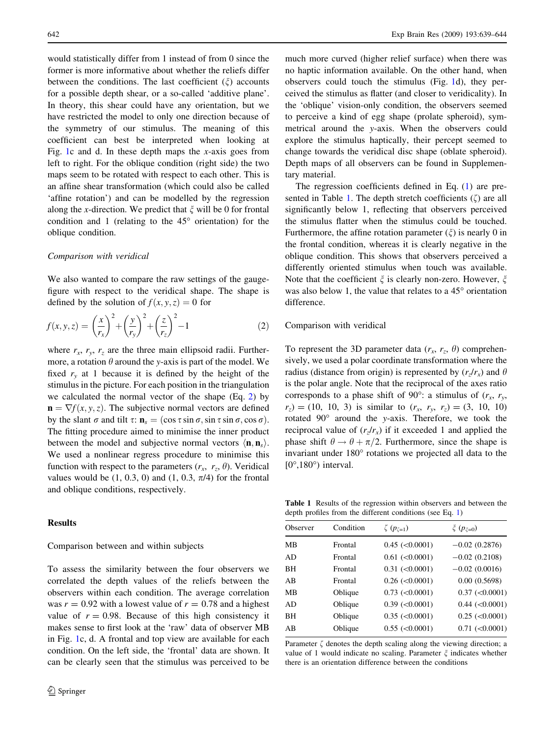<span id="page-3-0"></span>would statistically differ from 1 instead of from 0 since the former is more informative about whether the reliefs differ between the conditions. The last coefficient  $(\xi)$  accounts for a possible depth shear, or a so-called 'additive plane'. In theory, this shear could have any orientation, but we have restricted the model to only one direction because of the symmetry of our stimulus. The meaning of this coefficient can best be interpreted when looking at Fig. [1](#page-1-0)c and d. In these depth maps the x-axis goes from left to right. For the oblique condition (right side) the two maps seem to be rotated with respect to each other. This is an affine shear transformation (which could also be called 'affine rotation') and can be modelled by the regression along the x-direction. We predict that  $\xi$  will be 0 for frontal condition and 1 (relating to the  $45^{\circ}$  orientation) for the oblique condition.

#### Comparison with veridical

We also wanted to compare the raw settings of the gaugefigure with respect to the veridical shape. The shape is defined by the solution of  $f(x, y, z) = 0$  for

$$
f(x, y, z) = \left(\frac{x}{r_x}\right)^2 + \left(\frac{y}{r_y}\right)^2 + \left(\frac{z}{r_z}\right)^2 - 1\tag{2}
$$

where  $r_x$ ,  $r_y$ ,  $r_z$  are the three main ellipsoid radii. Furthermore, a rotation  $\theta$  around the y-axis is part of the model. We fixed  $r<sub>y</sub>$  at 1 because it is defined by the height of the stimulus in the picture. For each position in the triangulation we calculated the normal vector of the shape (Eq. 2) by  $\mathbf{n} = \nabla f(x, y, z)$ . The subjective normal vectors are defined by the slant  $\sigma$  and tilt  $\tau: \mathbf{n}_s = (\cos \tau \sin \sigma, \sin \tau \sin \sigma, \cos \sigma)$ . The fitting procedure aimed to minimise the inner product between the model and subjective normal vectors  $\langle \mathbf{n}, \mathbf{n}_s \rangle$ . We used a nonlinear regress procedure to minimise this function with respect to the parameters  $(r_x, r_z, \theta)$ . Veridical values would be  $(1, 0.3, 0)$  and  $(1, 0.3, \pi/4)$  for the frontal and oblique conditions, respectively.

## Results

# Comparison between and within subjects

To assess the similarity between the four observers we correlated the depth values of the reliefs between the observers within each condition. The average correlation was  $r = 0.92$  with a lowest value of  $r = 0.78$  and a highest value of  $r = 0.98$ . Because of this high consistency it makes sense to first look at the 'raw' data of observer MB in Fig. [1c](#page-1-0), d. A frontal and top view are available for each condition. On the left side, the 'frontal' data are shown. It can be clearly seen that the stimulus was perceived to be

much more curved (higher relief surface) when there was no haptic information available. On the other hand, when observers could touch the stimulus (Fig. [1](#page-1-0)d), they perceived the stimulus as flatter (and closer to veridicality). In the 'oblique' vision-only condition, the observers seemed to perceive a kind of egg shape (prolate spheroid), symmetrical around the y-axis. When the observers could explore the stimulus haptically, their percept seemed to change towards the veridical disc shape (oblate spheroid). Depth maps of all observers can be found in Supplementary material.

The regression coefficients defined in Eq. [\(1](#page-2-0)) are presented in Table 1. The depth stretch coefficients  $(\zeta)$  are all significantly below 1, reflecting that observers perceived the stimulus flatter when the stimulus could be touched. Furthermore, the affine rotation parameter  $(\xi)$  is nearly 0 in the frontal condition, whereas it is clearly negative in the oblique condition. This shows that observers perceived a differently oriented stimulus when touch was available. Note that the coefficient  $\xi$  is clearly non-zero. However,  $\xi$ was also below 1, the value that relates to a  $45^{\circ}$  orientation difference.

#### Comparison with veridical

To represent the 3D parameter data  $(r_x, r_z, \theta)$  comprehensively, we used a polar coordinate transformation where the radius (distance from origin) is represented by  $(r_r/r_x)$  and  $\theta$ is the polar angle. Note that the reciprocal of the axes ratio corresponds to a phase shift of 90°: a stimulus of  $(r_x, r_y,$  $r_z$  = (10, 10, 3) is similar to  $(r_x, r_y, r_z) = (3, 10, 10)$ rotated  $90^\circ$  around the y-axis. Therefore, we took the reciprocal value of  $(r_z/r_x)$  if it exceeded 1 and applied the phase shift  $\theta \rightarrow \theta + \pi/2$ . Furthermore, since the shape is invariant under 180° rotations we projected all data to the  $[0^{\circ}, 180^{\circ})$  interval.

Table 1 Results of the regression within observers and between the depth profiles from the different conditions (see Eq. [1](#page-2-0))

| Observer  | Condition | $\zeta(p_{\zeta=1})$ | $\xi(p_{\xi=0})$     |
|-----------|-----------|----------------------|----------------------|
| MB        | Frontal   | $0.45$ (< $0.0001$ ) | $-0.02(0.2876)$      |
| AD.       | Frontal   | $0.61$ (< $0.0001$ ) | $-0.02(0.2108)$      |
| <b>BH</b> | Frontal   | $0.31$ (< $0.0001$ ) | $-0.02(0.0016)$      |
| AB        | Frontal   | $0.26$ (< $0.0001$ ) | 0.00(0.5698)         |
| MB        | Oblique   | $0.73$ (< $0.0001$ ) | $0.37$ (< $0.0001$ ) |
| AD.       | Oblique   | $0.39$ (< $0.0001$ ) | $0.44$ (< $0.0001$ ) |
| BН        | Oblique   | $0.35$ (< $0.0001$ ) | $0.25$ (< $0.0001$ ) |
| AB        | Oblique   | $0.55$ (< $0.0001$ ) | $0.71$ (< $0.0001$ ) |
|           |           |                      |                      |

Parameter  $\zeta$  denotes the depth scaling along the viewing direction; a value of 1 would indicate no scaling. Parameter  $\xi$  indicates whether there is an orientation difference between the conditions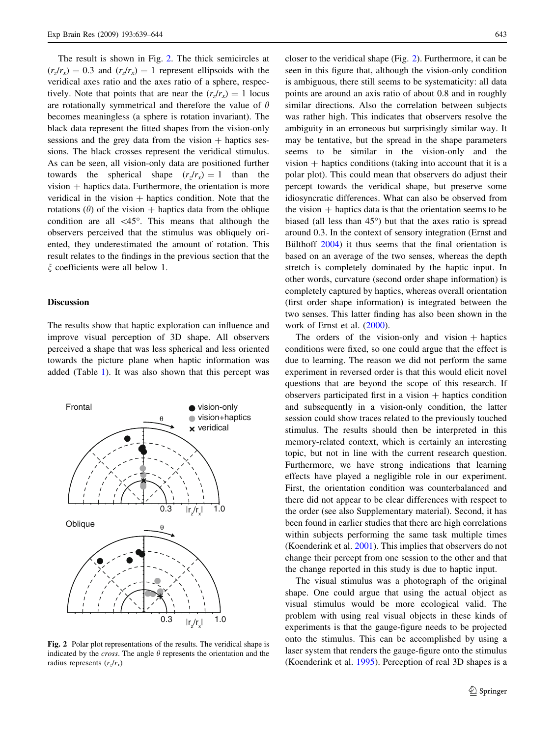The result is shown in Fig. 2. The thick semicircles at  $(r_z/r_x) = 0.3$  and  $(r_z/r_x) = 1$  represent ellipsoids with the veridical axes ratio and the axes ratio of a sphere, respectively. Note that points that are near the  $(r_r/r_r) = 1$  locus are rotationally symmetrical and therefore the value of  $\theta$ becomes meaningless (a sphere is rotation invariant). The black data represent the fitted shapes from the vision-only sessions and the grey data from the vision  $+$  haptics sessions. The black crosses represent the veridical stimulus. As can be seen, all vision-only data are positioned further towards the spherical shape  $(r<sub>z</sub>/r<sub>x</sub>) = 1$  than the  $vision + haptics data. Furthermore, the orientation is more$ veridical in the vision  $+$  haptics condition. Note that the rotations ( $\theta$ ) of the vision + haptics data from the oblique condition are all  $\langle 45^\circ \rangle$ . This means that although the observers perceived that the stimulus was obliquely oriented, they underestimated the amount of rotation. This result relates to the findings in the previous section that the  $\xi$  coefficients were all below 1.

## **Discussion**

The results show that haptic exploration can influence and improve visual perception of 3D shape. All observers perceived a shape that was less spherical and less oriented towards the picture plane when haptic information was added (Table [1](#page-3-0)). It was also shown that this percept was



Fig. 2 Polar plot representations of the results. The veridical shape is indicated by the *cross*. The angle  $\theta$  represents the orientation and the radius represents  $(r_z/r_x)$ 

closer to the veridical shape (Fig. 2). Furthermore, it can be seen in this figure that, although the vision-only condition is ambiguous, there still seems to be systematicity: all data points are around an axis ratio of about 0.8 and in roughly similar directions. Also the correlation between subjects was rather high. This indicates that observers resolve the ambiguity in an erroneous but surprisingly similar way. It may be tentative, but the spread in the shape parameters seems to be similar in the vision-only and the vision  $+$  haptics conditions (taking into account that it is a polar plot). This could mean that observers do adjust their percept towards the veridical shape, but preserve some idiosyncratic differences. What can also be observed from the vision  $+$  haptics data is that the orientation seems to be biased (all less than  $45^{\circ}$ ) but that the axes ratio is spread around 0.3. In the context of sensory integration (Ernst and Bülthoff [2004](#page-5-0)) it thus seems that the final orientation is based on an average of the two senses, whereas the depth stretch is completely dominated by the haptic input. In other words, curvature (second order shape information) is completely captured by haptics, whereas overall orientation (first order shape information) is integrated between the two senses. This latter finding has also been shown in the work of Ernst et al. [\(2000](#page-5-0)).

The orders of the vision-only and vision  $+$  haptics conditions were fixed, so one could argue that the effect is due to learning. The reason we did not perform the same experiment in reversed order is that this would elicit novel questions that are beyond the scope of this research. If observers participated first in a vision  $+$  haptics condition and subsequently in a vision-only condition, the latter session could show traces related to the previously touched stimulus. The results should then be interpreted in this memory-related context, which is certainly an interesting topic, but not in line with the current research question. Furthermore, we have strong indications that learning effects have played a negligible role in our experiment. First, the orientation condition was counterbalanced and there did not appear to be clear differences with respect to the order (see also Supplementary material). Second, it has been found in earlier studies that there are high correlations within subjects performing the same task multiple times (Koenderink et al. [2001\)](#page-5-0). This implies that observers do not change their percept from one session to the other and that the change reported in this study is due to haptic input.

The visual stimulus was a photograph of the original shape. One could argue that using the actual object as visual stimulus would be more ecological valid. The problem with using real visual objects in these kinds of experiments is that the gauge-figure needs to be projected onto the stimulus. This can be accomplished by using a laser system that renders the gauge-figure onto the stimulus (Koenderink et al. [1995](#page-5-0)). Perception of real 3D shapes is a